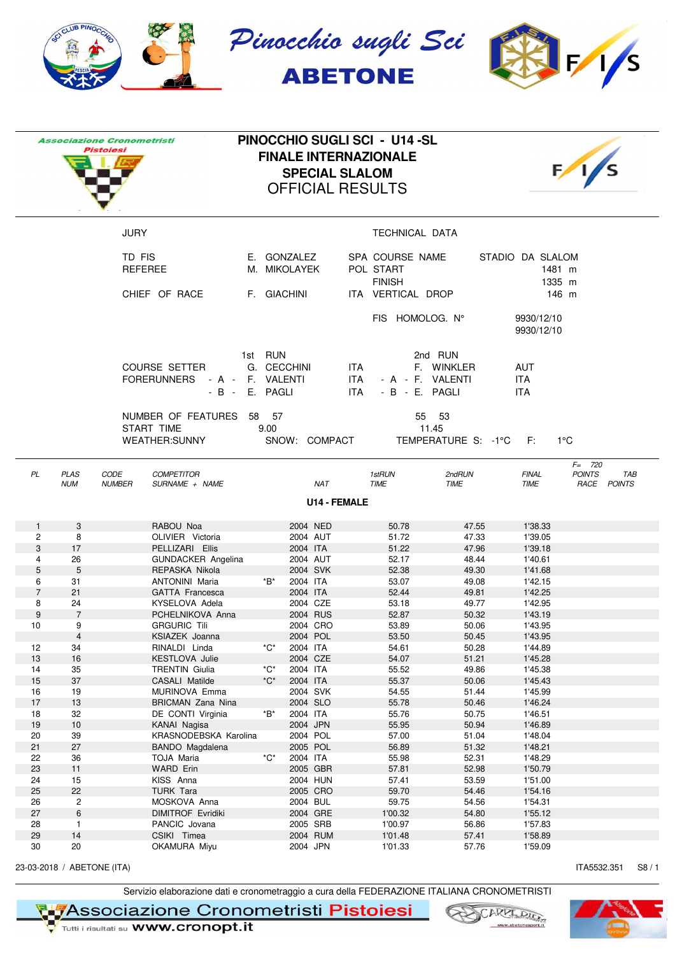

|                |                           | <b>Associazione Cronometristi</b><br><b>Pistoiesi</b> |                                                                                                              |                   | <b>OFFICIAL RESULTS</b>     | <b>SPECIAL SLALOM</b> | PINOCCHIO SUGLI SCI - U14-SL<br><b>FINALE INTERNAZIONALE</b> |                                |                                        |                                     |
|----------------|---------------------------|-------------------------------------------------------|--------------------------------------------------------------------------------------------------------------|-------------------|-----------------------------|-----------------------|--------------------------------------------------------------|--------------------------------|----------------------------------------|-------------------------------------|
|                |                           | <b>JURY</b>                                           |                                                                                                              |                   |                             |                       | TECHNICAL DATA                                               |                                |                                        |                                     |
|                |                           | TD FIS<br><b>REFEREE</b>                              |                                                                                                              |                   | E. GONZALEZ<br>M. MIKOLAYEK |                       | SPA COURSE NAME<br>POL START<br><b>FINISH</b>                |                                | STADIO DA SLALOM<br>1481 m<br>1335 m   |                                     |
|                |                           |                                                       | CHIEF OF RACE                                                                                                |                   | F. GIACHINI                 |                       | ITA VERTICAL DROP                                            |                                |                                        | 146 m                               |
|                |                           |                                                       |                                                                                                              |                   |                             |                       | FIS HOMOLOG. N°                                              |                                | 9930/12/10<br>9930/12/10               |                                     |
|                |                           |                                                       | <b>COURSE SETTER</b><br><b>FORERUNNERS</b><br>- A - F. VALENTI<br>- B - E. PAGLI<br>NUMBER OF FEATURES 58 57 | 1st RUN           | G. CECCHINI                 | ITA.<br>ITA.<br>ITA.  | - A - F. VALENTI<br>- B - E. PAGLI                           | 2nd RUN<br>F. WINKLER<br>55 53 | <b>AUT</b><br><b>ITA</b><br><b>ITA</b> |                                     |
|                |                           |                                                       | START TIME<br><b>WEATHER:SUNNY</b>                                                                           | 9.00              | SNOW: COMPACT               |                       |                                                              | 11.45<br>TEMPERATURE S: -1°C   | − F∶                                   | $1^{\circ}$ C                       |
|                |                           |                                                       |                                                                                                              |                   |                             |                       |                                                              |                                |                                        | $F = 720$                           |
| PL             | <b>PLAS</b><br><b>NUM</b> | <b>CODE</b><br><b>NUMBER</b>                          | <b>COMPETITOR</b><br>SURNAME + NAME                                                                          |                   | <b>NAT</b>                  |                       | 1stRUN<br><b>TIME</b>                                        | 2ndRUN<br><b>TIME</b>          | <b>FINAL</b><br><b>TIME</b>            | <b>POINTS</b><br>TAB<br>RACE POINTS |
|                |                           |                                                       |                                                                                                              |                   |                             | <b>U14 - FEMALE</b>   |                                                              |                                |                                        |                                     |
| $\mathbf{1}$   | 3                         |                                                       | RABOU Noa                                                                                                    |                   | 2004 NED                    |                       | 50.78                                                        | 47.55                          | 1'38.33                                |                                     |
| 2              | 8                         |                                                       | OLIVIER Victoria                                                                                             |                   | 2004 AUT                    |                       | 51.72                                                        | 47.33                          | 1'39.05                                |                                     |
| 3              | 17                        |                                                       | PELLIZARI Ellis                                                                                              |                   | 2004 ITA                    |                       | 51.22                                                        | 47.96                          | 1'39.18                                |                                     |
| 4              | 26                        |                                                       | <b>GUNDACKER Angelina</b>                                                                                    |                   | 2004 AUT                    |                       | 52.17                                                        | 48.44                          | 1'40.61                                |                                     |
| 5              | 5                         |                                                       | REPASKA Nikola                                                                                               |                   | 2004 SVK                    |                       | 52.38                                                        | 49.30                          | 1'41.68                                |                                     |
| 6              | 31                        |                                                       | <b>ANTONINI Maria</b>                                                                                        | *B*               | 2004 ITA                    |                       | 53.07                                                        | 49.08                          | 1'42.15                                |                                     |
| $\overline{7}$ | 21                        |                                                       | <b>GATTA Francesca</b>                                                                                       |                   | 2004 ITA                    |                       | 52.44                                                        | 49.81                          | 1'42.25                                |                                     |
| 8              | 24                        |                                                       | KYSELOVA Adela                                                                                               |                   | 2004 CZE                    |                       | 53.18                                                        | 49.77                          | 1'42.95                                |                                     |
| 9              | $\overline{7}$            |                                                       | PCHELNIKOVA Anna                                                                                             |                   | 2004 RUS                    |                       | 52.87                                                        | 50.32                          | 1'43.19                                |                                     |
| 10             | 9                         |                                                       | <b>GRGURIC Tili</b>                                                                                          |                   | 2004 CRO                    |                       | 53.89                                                        | 50.06                          | 1'43.95                                |                                     |
|                | $\overline{4}$            |                                                       | KSIAZEK Joanna                                                                                               |                   | 2004 POL                    |                       | 53.50                                                        | 50.45                          | 1'43.95                                |                                     |
| 12             | 34                        |                                                       | RINALDI Linda                                                                                                | *C*               | 2004 ITA                    |                       | 54.61                                                        | 50.28                          | 1'44.89                                |                                     |
| 13             | 16                        |                                                       | <b>KESTLOVA Julie</b>                                                                                        |                   | 2004 CZE                    |                       | 54.07                                                        | 51.21                          | 1'45.28                                |                                     |
| 14             | 35                        |                                                       | <b>TRENTIN Giulia</b>                                                                                        | *C*               | 2004 ITA                    |                       | 55.52                                                        | 49.86                          | 1'45.38                                |                                     |
| 15             | 37                        |                                                       | CASALI Matilde                                                                                               | $^{\ast}C^{\ast}$ | 2004 ITA                    |                       | 55.37                                                        | 50.06                          | 1'45.43                                |                                     |
| 16             | 19                        |                                                       | MURINOVA Emma                                                                                                |                   | 2004 SVK                    |                       | 54.55                                                        | 51.44                          | 1'45.99                                |                                     |
| 17             | 13                        |                                                       | <b>BRICMAN Zana Nina</b>                                                                                     |                   | 2004 SLO                    |                       | 55.78                                                        | 50.46                          | 1'46.24                                |                                     |
| 18<br>19       | 32<br>10                  |                                                       | DE CONTI Virginia<br>KANAI Nagisa                                                                            | *B*               | 2004 ITA<br>2004 JPN        |                       | 55.76<br>55.95                                               | 50.75<br>50.94                 | 1'46.51<br>1'46.89                     |                                     |
| 20             | 39                        |                                                       | KRASNODEBSKA Karolina                                                                                        |                   | 2004 POL                    |                       | 57.00                                                        | 51.04                          | 1'48.04                                |                                     |
| 21             | 27                        |                                                       | BANDO Magdalena                                                                                              |                   | 2005 POL                    |                       | 56.89                                                        | 51.32                          | 1'48.21                                |                                     |
| 22             | 36                        |                                                       | TOJA Maria                                                                                                   | *C*               | 2004 ITA                    |                       | 55.98                                                        | 52.31                          | 1'48.29                                |                                     |
| 23             | 11                        |                                                       | <b>WARD Erin</b>                                                                                             |                   | 2005 GBR                    |                       | 57.81                                                        | 52.98                          | 1'50.79                                |                                     |
| 24             | 15                        |                                                       | KISS Anna                                                                                                    |                   | 2004 HUN                    |                       | 57.41                                                        | 53.59                          | 1'51.00                                |                                     |
| 25             | 22                        |                                                       | <b>TURK Tara</b>                                                                                             |                   | 2005 CRO                    |                       | 59.70                                                        | 54.46                          | 1'54.16                                |                                     |
| 26             | $\overline{c}$            |                                                       | MOSKOVA Anna                                                                                                 |                   | 2004 BUL                    |                       | 59.75                                                        | 54.56                          | 1'54.31                                |                                     |
| 27             | 6                         |                                                       | <b>DIMITROF Evridiki</b>                                                                                     |                   | 2004 GRE                    |                       | 1'00.32                                                      | 54.80                          | 1'55.12                                |                                     |
| 28             | $\mathbf{1}$              |                                                       | PANCIC Jovana                                                                                                |                   | 2005 SRB                    |                       | 1'00.97                                                      | 56.86                          | 1'57.83                                |                                     |
| 29             | 14                        |                                                       | CSIKI Timea                                                                                                  |                   | 2004 RUM                    |                       | 1'01.48                                                      | 57.41                          | 1'58.89                                |                                     |
| 30             | 20                        |                                                       | OKAMURA Miyu                                                                                                 |                   | 2004 JPN                    |                       | 1'01.33                                                      | 57.76                          | 1'59.09                                |                                     |

23-03-2018 / ABETONE (ITA) **ITA5532.351** S8 / 1

Servizio elaborazione dati e cronometraggio a cura della FEDERAZIONE ITALIANA CRONOMETRISTI

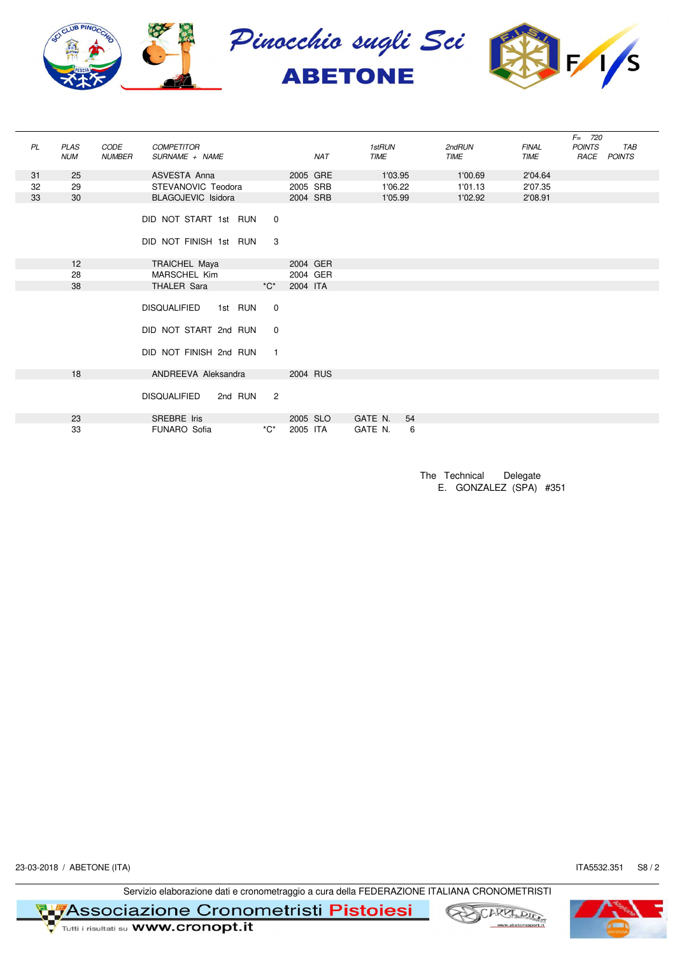

|    |             |               |                           |                     |          |            |         |    |             |              | $F = 720$     |            |
|----|-------------|---------------|---------------------------|---------------------|----------|------------|---------|----|-------------|--------------|---------------|------------|
| PL | <b>PLAS</b> | CODE          | <b>COMPETITOR</b>         |                     |          |            | 1stRUN  |    | 2ndRUN      | <b>FINAL</b> | <b>POINTS</b> | <b>TAB</b> |
|    | <b>NUM</b>  | <b>NUMBER</b> | SURNAME + NAME            |                     |          | <b>NAT</b> | TIME    |    | <b>TIME</b> | TIME         | RACE POINTS   |            |
|    |             |               |                           |                     |          |            |         |    |             |              |               |            |
| 31 | 25          |               | ASVESTA Anna              |                     | 2005 GRE |            | 1'03.95 |    | 1'00.69     | 2'04.64      |               |            |
| 32 | 29          |               | STEVANOVIC Teodora        |                     | 2005 SRB |            | 1'06.22 |    | 1'01.13     | 2'07.35      |               |            |
| 33 | 30          |               | <b>BLAGOJEVIC Isidora</b> |                     | 2004 SRB |            | 1'05.99 |    | 1'02.92     | 2'08.91      |               |            |
|    |             |               |                           |                     |          |            |         |    |             |              |               |            |
|    |             |               | DID NOT START 1st RUN     | $\mathbf 0$         |          |            |         |    |             |              |               |            |
|    |             |               |                           |                     |          |            |         |    |             |              |               |            |
|    |             |               | DID NOT FINISH 1st RUN    | 3                   |          |            |         |    |             |              |               |            |
|    |             |               |                           |                     |          |            |         |    |             |              |               |            |
|    | 12          |               | TRAICHEL Maya             |                     | 2004 GER |            |         |    |             |              |               |            |
|    | 28          |               | MARSCHEL Kim              |                     | 2004 GER |            |         |    |             |              |               |            |
|    | 38          |               | THALER Sara               | $^{\star}C^{\star}$ | 2004 ITA |            |         |    |             |              |               |            |
|    |             |               |                           |                     |          |            |         |    |             |              |               |            |
|    |             |               | DISQUALIFIED 1st RUN      | 0                   |          |            |         |    |             |              |               |            |
|    |             |               |                           |                     |          |            |         |    |             |              |               |            |
|    |             |               | DID NOT START 2nd RUN     | 0                   |          |            |         |    |             |              |               |            |
|    |             |               |                           |                     |          |            |         |    |             |              |               |            |
|    |             |               | DID NOT FINISH 2nd RUN    | $\overline{1}$      |          |            |         |    |             |              |               |            |
|    |             |               |                           |                     |          |            |         |    |             |              |               |            |
|    | 18          |               | ANDREEVA Aleksandra       |                     | 2004 RUS |            |         |    |             |              |               |            |
|    |             |               |                           |                     |          |            |         |    |             |              |               |            |
|    |             |               | DISQUALIFIED<br>2nd RUN   | $\overline{2}$      |          |            |         |    |             |              |               |            |
|    |             |               |                           |                     |          |            |         |    |             |              |               |            |
|    | 23          |               | SREBRE Iris               |                     | 2005 SLO |            | GATE N. | 54 |             |              |               |            |
|    | 33          |               | FUNARO Sofia              | $^{\ast}C^{\ast}$   | 2005 ITA |            | GATE N. | 6  |             |              |               |            |

The Technical Delegate E. GONZALEZ (SPA) #351

23-03-2018 / ABETONE (ITA) **ITA5532.351** S8 / 2

Servizio elaborazione dati e cronometraggio a cura della FEDERAZIONE ITALIANA CRONOMETRISTI



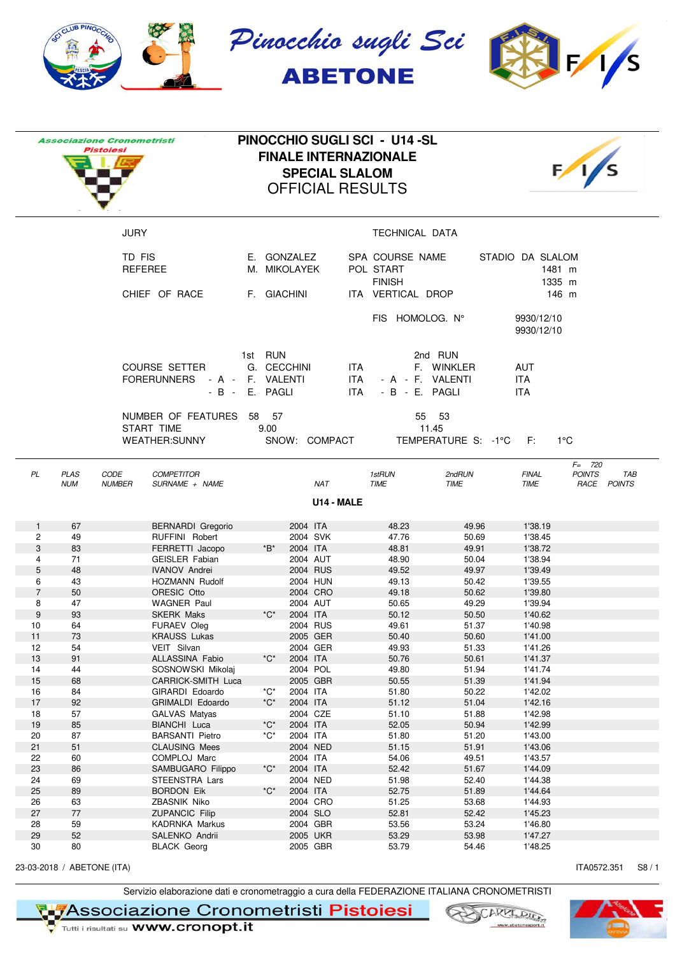

|                |             | <b>Associazione Cronometristi</b><br>Pistoiesi |                                                            |    | PINOCCHIO SUGLI SCI - U14-SL<br><b>FINALE INTERNAZIONALE</b><br><b>OFFICIAL RESULTS</b> | <b>SPECIAL SLALOM</b> |                    |                                               |                              |                                        |                                   |
|----------------|-------------|------------------------------------------------|------------------------------------------------------------|----|-----------------------------------------------------------------------------------------|-----------------------|--------------------|-----------------------------------------------|------------------------------|----------------------------------------|-----------------------------------|
|                |             | <b>JURY</b>                                    |                                                            |    |                                                                                         |                       |                    | TECHNICAL DATA                                |                              |                                        |                                   |
|                |             | TD FIS<br><b>REFEREE</b>                       |                                                            |    | E. GONZALEZ<br>M. MIKOLAYEK                                                             |                       |                    | SPA COURSE NAME<br>POL START<br><b>FINISH</b> |                              | STADIO DA SLALOM<br>1481 m<br>1335 m   |                                   |
|                |             | CHIEF OF RACE                                  |                                                            |    | F. GIACHINI                                                                             |                       |                    | ITA VERTICAL DROP                             |                              |                                        | 146 m                             |
|                |             |                                                |                                                            |    |                                                                                         |                       |                    | FIS HOMOLOG. N°                               |                              | 9930/12/10<br>9930/12/10               |                                   |
|                |             | <b>FORERUNNERS</b>                             | <b>COURSE SETTER</b><br>- A - F. VALENTI<br>- B - E. PAGLI |    | 1st RUN<br>G. CECCHINI                                                                  |                       | ITA<br>ITA<br>ITA. | - A - F. VALENTI<br>- B - E. PAGLI            | 2nd RUN<br>F. WINKLER        | <b>AUT</b><br><b>ITA</b><br><b>ITA</b> |                                   |
|                |             | START TIME                                     | NUMBER OF FEATURES<br><b>WEATHER:SUNNY</b>                 | 58 | - 57<br>9.00<br>SNOW: COMPACT                                                           |                       |                    | 11.45                                         | 55 53<br>TEMPERATURE S: -1°C | E:                                     | $1^{\circ}$ C                     |
| PL             | <b>PLAS</b> | <b>CODE</b>                                    | <b>COMPETITOR</b>                                          |    |                                                                                         |                       |                    | 1stRUN                                        | 2ndRUN                       | <b>FINAL</b>                           | $F = 720$<br><b>POINTS</b><br>TAB |
|                | <b>NUM</b>  | <b>NUMBER</b>                                  | SURNAME + NAME                                             |    |                                                                                         | <b>NAT</b>            | U14 - MALE         | <b>TIME</b>                                   | <b>TIME</b>                  | TIME                                   | RACE<br><b>POINTS</b>             |
| $\mathbf{1}$   | 67          |                                                | <b>BERNARDI</b> Gregorio                                   |    | 2004 ITA                                                                                |                       |                    | 48.23                                         | 49.96                        | 1'38.19                                |                                   |
| 2              | 49          |                                                | RUFFINI Robert                                             |    |                                                                                         | 2004 SVK              |                    | 47.76                                         | 50.69                        | 1'38.45                                |                                   |
| 3              | 83          |                                                | FERRETTI Jacopo                                            |    | 2004 ITA<br>*B*                                                                         |                       |                    | 48.81                                         | 49.91                        | 1'38.72                                |                                   |
| 4              | 71          |                                                | <b>GEISLER</b> Fabian                                      |    |                                                                                         | 2004 AUT              |                    | 48.90                                         | 50.04                        | 1'38.94                                |                                   |
| 5              | 48          |                                                | <b>IVANOV Andrei</b>                                       |    |                                                                                         | 2004 RUS              |                    | 49.52                                         | 49.97                        | 1'39.49                                |                                   |
| 6              | 43          |                                                | <b>HOZMANN Rudolf</b>                                      |    |                                                                                         | 2004 HUN              |                    | 49.13                                         | 50.42                        | 1'39.55                                |                                   |
| $\overline{7}$ | 50          |                                                | ORESIC Otto                                                |    |                                                                                         | 2004 CRO              |                    | 49.18                                         | 50.62                        | 1'39.80                                |                                   |
| 8              | 47          |                                                | <b>WAGNER Paul</b>                                         |    |                                                                                         | 2004 AUT              |                    | 50.65                                         | 49.29                        | 1'39.94                                |                                   |
| 9              | 93          |                                                | <b>SKERK Maks</b>                                          |    | *C*<br>2004 ITA                                                                         |                       |                    | 50.12                                         | 50.50                        | 1'40.62                                |                                   |
| 10             | 64          |                                                | <b>FURAEV Oleg</b>                                         |    |                                                                                         | 2004 RUS              |                    | 49.61                                         | 51.37                        | 1'40.98                                |                                   |
| 11             | 73          |                                                | <b>KRAUSS Lukas</b>                                        |    |                                                                                         | 2005 GER              |                    | 50.40                                         | 50.60                        | 1'41.00                                |                                   |
| 12             | 54          |                                                | VEIT Silvan                                                |    |                                                                                         | 2004 GER              |                    | 49.93                                         | 51.33                        | 1'41.26                                |                                   |
| 13             | 91          |                                                | ALLASSINA Fabio                                            |    | *C*                                                                                     | 2004 ITA              |                    | 50.76                                         | 50.61                        | 1'41.37                                |                                   |
| 14             | 44          |                                                | SOSNOWSKI Mikolaj                                          |    |                                                                                         | 2004 POL              |                    | 49.80                                         | 51.94                        | 1'41.74                                |                                   |
| 15             | 68          |                                                | CARRICK-SMITH Luca                                         |    |                                                                                         | 2005 GBR<br>2004 ITA  |                    | 50.55                                         | 51.39                        | 1'41.94                                |                                   |
| 16<br>17       | 84<br>92    |                                                | GIRARDI Edoardo                                            |    | *C*<br>*C*<br>2004 ITA                                                                  |                       |                    | 51.80<br>51.12                                | 50.22<br>51.04               | 1'42.02<br>1'42.16                     |                                   |
| 18             | 57          |                                                | GRIMALDI Edoardo<br>GALVAS Matyas                          |    |                                                                                         | 2004 CZE              |                    | 51.10                                         | 51.88                        | 1'42.98                                |                                   |
| 19             | 85          |                                                | BIANCHI Luca                                               |    | *C*                                                                                     | 2004 ITA              |                    | 52.05                                         | 50.94                        | 1'42.99                                |                                   |
| 20             | 87          |                                                | <b>BARSANTI Pietro</b>                                     |    | *C*                                                                                     | 2004 ITA              |                    | 51.80                                         | 51.20                        | 1'43.00                                |                                   |
| 21             | 51          |                                                | <b>CLAUSING Mees</b>                                       |    |                                                                                         | 2004 NED              |                    | 51.15                                         | 51.91                        | 1'43.06                                |                                   |
| 22             | 60          |                                                | COMPLOJ Marc                                               |    |                                                                                         | 2004 ITA              |                    | 54.06                                         | 49.51                        | 1'43.57                                |                                   |
| 23             | 86          |                                                | SAMBUGARO Filippo                                          |    | *C*<br>2004 ITA                                                                         |                       |                    | 52.42                                         | 51.67                        | 1'44.09                                |                                   |
| 24             | 69          |                                                | STEENSTRA Lars                                             |    |                                                                                         | 2004 NED              |                    | 51.98                                         | 52.40                        | 1'44.38                                |                                   |
| 25             | 89          |                                                | <b>BORDON Eik</b>                                          |    | *C*                                                                                     | 2004 ITA              |                    | 52.75                                         | 51.89                        | 1'44.64                                |                                   |
| 26             | 63          |                                                | ZBASNIK Niko                                               |    |                                                                                         | 2004 CRO              |                    | 51.25                                         | 53.68                        | 1'44.93                                |                                   |
| 27             | 77          |                                                | <b>ZUPANCIC Filip</b>                                      |    |                                                                                         | 2004 SLO              |                    | 52.81                                         | 52.42                        | 1'45.23                                |                                   |
| 28             | 59          |                                                | <b>KADRNKA Markus</b>                                      |    |                                                                                         | 2004 GBR              |                    | 53.56                                         | 53.24                        | 1'46.80                                |                                   |
| 29             | 52          |                                                | SALENKO Andrii                                             |    |                                                                                         | 2005 UKR              |                    | 53.29                                         | 53.98                        | 1'47.27                                |                                   |
| 30             | 80          |                                                | <b>BLACK Georg</b>                                         |    |                                                                                         | 2005 GBR              |                    | 53.79                                         | 54.46                        | 1'48.25                                |                                   |

23-03-2018 / ABETONE (ITA) ITA0572.351 S8 / 1

Servizio elaborazione dati e cronometraggio a cura della FEDERAZIONE ITALIANA CRONOMETRISTI

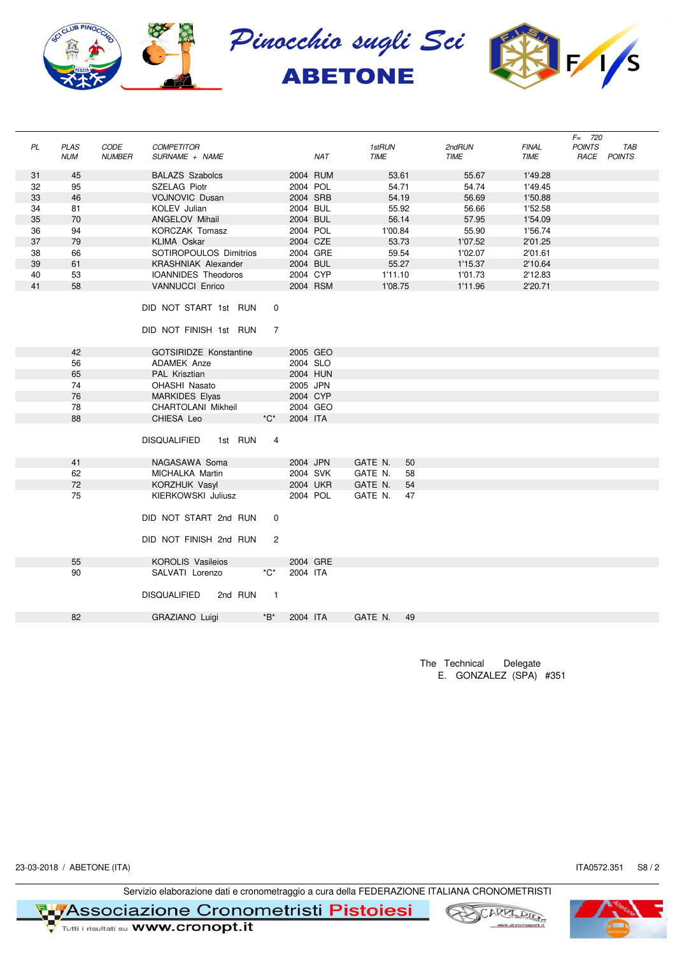

|    |                           |                       |                                                 |                               |          |            |                       |         |                       |                             | $F = 720$             |                      |
|----|---------------------------|-----------------------|-------------------------------------------------|-------------------------------|----------|------------|-----------------------|---------|-----------------------|-----------------------------|-----------------------|----------------------|
| PL | <b>PLAS</b><br><b>NUM</b> | CODE<br><b>NUMBER</b> | <b>COMPETITOR</b><br>SURNAME + NAME             |                               |          | <b>NAT</b> | 1stRUN<br><b>TIME</b> |         | 2ndRUN<br><b>TIME</b> | <b>FINAL</b><br><b>TIME</b> | <b>POINTS</b><br>RACE | TAB<br><b>POINTS</b> |
|    |                           |                       |                                                 |                               |          |            |                       |         |                       |                             |                       |                      |
| 31 | 45                        |                       | <b>BALAZS Szabolcs</b>                          |                               | 2004 RUM |            |                       | 53.61   | 55.67                 | 1'49.28                     |                       |                      |
| 32 | 95                        |                       | SZELAG Piotr                                    |                               | 2004 POL |            |                       | 54.71   | 54.74                 | 1'49.45                     |                       |                      |
| 33 | 46                        |                       | <b>VOJNOVIC Dusan</b>                           |                               | 2004 SRB |            |                       | 54.19   | 56.69                 | 1'50.88                     |                       |                      |
| 34 | 81                        |                       | KOLEV Julian                                    |                               | 2004 BUL |            |                       | 55.92   | 56.66                 | 1'52.58                     |                       |                      |
| 35 | 70                        |                       | <b>ANGELOV Mihail</b>                           |                               | 2004 BUL |            |                       | 56.14   | 57.95                 | 1'54.09                     |                       |                      |
| 36 | 94                        |                       | KORCZAK Tomasz                                  |                               | 2004 POL |            |                       | 1'00.84 | 55.90                 | 1'56.74                     |                       |                      |
| 37 | 79                        |                       | KLIMA Oskar                                     |                               | 2004 CZE |            |                       | 53.73   | 1'07.52               | 2'01.25                     |                       |                      |
| 38 | 66                        |                       | SOTIROPOULOS Dimitrios                          |                               | 2004 GRE |            |                       | 59.54   | 1'02.07               | 2'01.61                     |                       |                      |
| 39 | 61                        |                       | <b>KRASHNIAK Alexander</b>                      |                               | 2004 BUL |            |                       | 55.27   | 1'15.37               | 2'10.64                     |                       |                      |
| 40 | 53                        |                       | <b>IOANNIDES Theodoros</b>                      |                               | 2004 CYP |            |                       | 1'11.10 | 1'01.73               | 2'12.83                     |                       |                      |
| 41 | 58                        |                       | <b>VANNUCCI Enrico</b>                          |                               | 2004 RSM |            |                       | 1'08.75 | 1'11.96               | 2'20.71                     |                       |                      |
|    |                           |                       | DID NOT START 1st RUN<br>DID NOT FINISH 1st RUN | $\mathbf 0$<br>$\overline{7}$ |          |            |                       |         |                       |                             |                       |                      |
|    | 42                        |                       | <b>GOTSIRIDZE Konstantine</b>                   |                               |          | 2005 GEO   |                       |         |                       |                             |                       |                      |
|    | 56                        |                       | <b>ADAMEK Anze</b>                              |                               | 2004 SLO |            |                       |         |                       |                             |                       |                      |
|    | 65                        |                       | PAL Krisztian                                   |                               | 2004 HUN |            |                       |         |                       |                             |                       |                      |
|    | 74                        |                       | OHASHI Nasato                                   |                               | 2005 JPN |            |                       |         |                       |                             |                       |                      |
|    | 76                        |                       | <b>MARKIDES Elyas</b>                           |                               | 2004 CYP |            |                       |         |                       |                             |                       |                      |
|    | 78                        |                       | CHARTOLANI Mikheil                              |                               |          | 2004 GEO   |                       |         |                       |                             |                       |                      |
|    | 88                        |                       | CHIESA Leo                                      | $^{\ast}C^{\ast}$             | 2004 ITA |            |                       |         |                       |                             |                       |                      |
|    |                           |                       |                                                 |                               |          |            |                       |         |                       |                             |                       |                      |
|    |                           |                       | <b>DISQUALIFIED</b><br>1st RUN                  | 4                             |          |            |                       |         |                       |                             |                       |                      |
|    | 41                        |                       | NAGASAWA Soma                                   |                               | 2004 JPN |            | GATE N.               | 50      |                       |                             |                       |                      |
|    | 62                        |                       | MICHALKA Martin                                 |                               | 2004 SVK |            | GATE N.               | 58      |                       |                             |                       |                      |
|    | 72                        |                       | <b>KORZHUK Vasyl</b>                            |                               | 2004 UKR |            | GATE N.               | 54      |                       |                             |                       |                      |
|    | 75                        |                       | KIERKOWSKI Juliusz                              |                               | 2004 POL |            | GATE N.               | 47      |                       |                             |                       |                      |
|    |                           |                       | DID NOT START 2nd RUN                           | 0                             |          |            |                       |         |                       |                             |                       |                      |
|    |                           |                       | DID NOT FINISH 2nd RUN                          | $\overline{2}$                |          |            |                       |         |                       |                             |                       |                      |
|    | 55                        |                       | <b>KOROLIS Vasileios</b>                        |                               | 2004 GRE |            |                       |         |                       |                             |                       |                      |
|    | 90                        |                       | SALVATI Lorenzo                                 | *C*                           | 2004 ITA |            |                       |         |                       |                             |                       |                      |
|    |                           |                       | <b>DISQUALIFIED</b><br>2nd RUN                  | $\overline{1}$                |          |            |                       |         |                       |                             |                       |                      |
|    | 82                        |                       | <b>GRAZIANO Luigi</b>                           | *B*                           | 2004 ITA |            | GATE N.               | 49      |                       |                             |                       |                      |
|    |                           |                       |                                                 |                               |          |            |                       |         |                       |                             |                       |                      |

The Technical Delegate E. GONZALEZ (SPA) #351

23-03-2018 / ABETONE (ITA) **ITA0572.351** S8 / 2

Servizio elaborazione dati e cronometraggio a cura della FEDERAZIONE ITALIANA CRONOMETRISTI



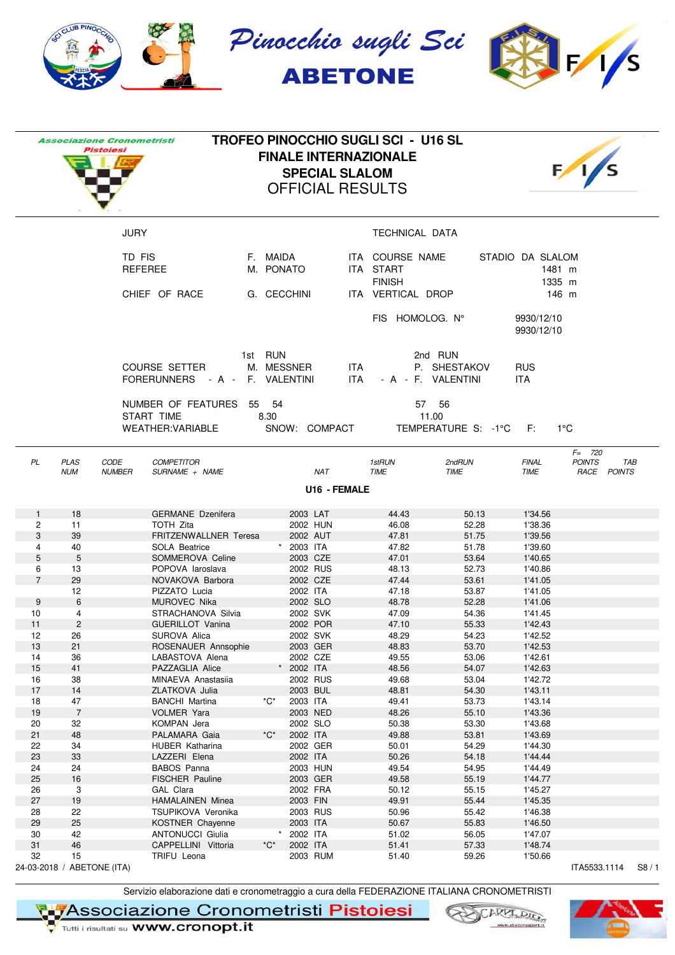

|                |                                  | <b>Associazione Cronometristi</b><br>Pistoiesi               |                       |                                 | <b>SPECIAL SLALOM</b>    | <b>TROFEO PINOCCHIO SUGLI SCI - U16 SL</b><br><b>FINALE INTERNAZIONALE</b><br><b>OFFICIAL RESULTS</b> |                                               |                                      |                                           |      |
|----------------|----------------------------------|--------------------------------------------------------------|-----------------------|---------------------------------|--------------------------|-------------------------------------------------------------------------------------------------------|-----------------------------------------------|--------------------------------------|-------------------------------------------|------|
|                |                                  | <b>JURY</b>                                                  |                       |                                 |                          | TECHNICAL DATA                                                                                        |                                               |                                      |                                           |      |
|                |                                  | TD FIS<br><b>REFEREE</b>                                     |                       | F. MAIDA<br>M. PONATO           |                          | ITA COURSE NAME<br>ITA START<br><b>FINISH</b>                                                         |                                               | STADIO DA SLALOM<br>1481 m<br>1335 m |                                           |      |
|                |                                  | CHIEF OF RACE                                                |                       | G. CECCHINI                     |                          | ITA VERTICAL DROP                                                                                     |                                               |                                      | 146 m                                     |      |
|                |                                  |                                                              |                       |                                 |                          | FIS HOMOLOG. N°                                                                                       |                                               | 9930/12/10<br>9930/12/10             |                                           |      |
|                |                                  | <b>COURSE SETTER</b><br>FORERUNNERS - A - F. VALENTINI       |                       | 1st RUN<br>M. MESSNER           | <b>ITA</b><br><b>ITA</b> |                                                                                                       | 2nd RUN<br>P. SHESTAKOV<br>- A - F. VALENTINI | <b>RUS</b><br>ITA.                   |                                           |      |
|                |                                  | NUMBER OF FEATURES<br>START TIME<br><b>WEATHER: VARIABLE</b> |                       | 55 54<br>8.30                   | SNOW: COMPACT            |                                                                                                       | 57 56<br>11.00<br>TEMPERATURE S: -1°C F:      |                                      | $1^{\circ}$ C                             |      |
| PL             | <b>PLAS</b><br><b>NUM</b>        | CODE<br><b>COMPETITOR</b><br>SURNAME + NAME<br><b>NUMBER</b> |                       |                                 | NAT                      | 1stRUN<br>TIME                                                                                        | 2ndRUN<br><b>TIME</b>                         | <b>FINAL</b><br><b>TIME</b>          | $F = 720$<br><b>POINTS</b><br>RACE POINTS | TAB  |
|                |                                  |                                                              |                       |                                 | U16 - FEMALE             |                                                                                                       |                                               |                                      |                                           |      |
| $\mathbf{1}$   | 18                               | <b>GERMANE</b> Dzenifera                                     |                       | 2003 LAT                        |                          | 44.43                                                                                                 | 50.13                                         | 1'34.56                              |                                           |      |
| 2              | 11                               | TOTH Zita                                                    |                       |                                 | 2002 HUN                 | 46.08                                                                                                 | 52.28                                         | 1'38.36                              |                                           |      |
| 3              | 39                               |                                                              | FRITZENWALLNER Teresa |                                 | 2002 AUT                 | 47.81                                                                                                 | 51.75                                         | 1'39.56                              |                                           |      |
| 4<br>5         | 40<br>5                          | SOLA Beatrice<br>SOMMEROVA Celine                            |                       | 2003 ITA                        | 2003 CZE                 | 47.82<br>47.01                                                                                        | 51.78<br>53.64                                | 1'39.60<br>1'40.65                   |                                           |      |
| 6              | 13                               | POPOVA laroslava                                             |                       |                                 | 2002 RUS                 | 48.13                                                                                                 | 52.73                                         | 1'40.86                              |                                           |      |
| $\overline{7}$ | 29                               | NOVAKOVA Barbora                                             |                       |                                 | 2002 CZE                 | 47.44                                                                                                 | 53.61                                         | 1'41.05                              |                                           |      |
|                | 12                               | PIZZATO Lucia                                                |                       | 2002 ITA                        |                          | 47.18                                                                                                 | 53.87                                         | 1'41.05                              |                                           |      |
| 9              | 6                                | <b>MUROVEC Nika</b>                                          |                       |                                 | 2002 SLO                 | 48.78                                                                                                 | 52.28                                         | 1'41.06                              |                                           |      |
| 10             | 4                                | STRACHANOVA Silvia                                           |                       |                                 | 2002 SVK                 | 47.09                                                                                                 | 54.36                                         | 1'41.45                              |                                           |      |
| 11<br>12       | 2<br>26                          | <b>GUERILLOT Vanina</b><br>SUROVA Alica                      |                       |                                 | 2002 POR<br>2002 SVK     | 47.10<br>48.29                                                                                        | 55.33<br>54.23                                | 1'42.43<br>1'42.52                   |                                           |      |
| 13             | 21                               |                                                              | ROSENAUER Annsophie   |                                 | 2003 GER                 | 48.83                                                                                                 | 53.70                                         | 1'42.53                              |                                           |      |
| 14             | 36                               | LABASTOVA Alena                                              |                       |                                 | 2002 CZE                 | 49.55                                                                                                 | 53.06                                         | 1'42.61                              |                                           |      |
| 15             | 41                               | PAZZAGLIA Alice                                              |                       | 2002 ITA                        |                          | 48.56                                                                                                 | 54.07                                         | 1'42.63                              |                                           |      |
| 16             | 38                               | MINAEVA Anastasiia                                           |                       |                                 | 2002 RUS                 | 49.68                                                                                                 | 53.04                                         | 1'42.72                              |                                           |      |
| 17             | 14                               | ZLATKOVA Julia                                               |                       | *C*                             | 2003 BUL                 | 48.81                                                                                                 | 54.30                                         | 1'43.11                              |                                           |      |
| 18<br>19       | 47<br>$\overline{7}$             | <b>BANCHI Martina</b><br>VOLMER Yara                         |                       | 2003 ITA                        | 2003 NED                 | 49.41<br>48.26                                                                                        | 53.73<br>55.10                                | 1'43.14<br>1'43.36                   |                                           |      |
| 20             | 32                               | KOMPAN Jera                                                  |                       |                                 | 2002 SLO                 | 50.38                                                                                                 | 53.30                                         | 1'43.68                              |                                           |      |
| 21             | 48                               | PALAMARA Gaia                                                |                       | $^{\star}C^{\star}$<br>2002 ITA |                          | 49.88                                                                                                 | 53.81                                         | 1'43.69                              |                                           |      |
| 22             | 34                               | HUBER Katharina                                              |                       |                                 | 2002 GER                 | 50.01                                                                                                 | 54.29                                         | 1'44.30                              |                                           |      |
| 23             | 33                               | LAZZERI Elena                                                |                       | 2002 ITA                        |                          | 50.26                                                                                                 | 54.18                                         | 1'44.44                              |                                           |      |
| 24             | 24                               | <b>BABOS Panna</b>                                           |                       |                                 | 2003 HUN                 | 49.54                                                                                                 | 54.95                                         | 1'44.49                              |                                           |      |
| 25<br>26       | 16<br>3                          | FISCHER Pauline<br>GAL Clara                                 |                       |                                 | 2003 GER<br>2002 FRA     | 49.58<br>50.12                                                                                        | 55.19<br>55.15                                | 1'44.77<br>1'45.27                   |                                           |      |
| 27             | 19                               | <b>HAMALAINEN Minea</b>                                      |                       | 2003 FIN                        |                          | 49.91                                                                                                 | 55.44                                         | 1'45.35                              |                                           |      |
| 28             | 22                               | TSUPIKOVA Veronika                                           |                       |                                 | 2003 RUS                 | 50.96                                                                                                 | 55.42                                         | 1'46.38                              |                                           |      |
| 29             | 25                               | KOSTNER Chayenne                                             |                       | 2003 ITA                        |                          | 50.67                                                                                                 | 55.83                                         | 1'46.50                              |                                           |      |
| 30             | 42                               | <b>ANTONUCCI Giulia</b>                                      |                       | 2002 ITA                        |                          | 51.02                                                                                                 | 56.05                                         | 1'47.07                              |                                           |      |
| 31             | 46                               | CAPPELLINI Vittoria                                          |                       | $^{\ast}C^{\ast}$<br>2002 ITA   |                          | 51.41                                                                                                 | 57.33                                         | 1'48.74                              |                                           |      |
| 32             | 15<br>24-03-2018 / ABETONE (ITA) | TRIFU Leona                                                  |                       |                                 | 2003 RUM                 | 51.40                                                                                                 | 59.26                                         | 1'50.66                              | ITA5533.1114                              | S8/1 |

Servizio elaborazione dati e cronometraggio a cura della FEDERAZIONE ITALIANA CRONOMETRISTI

**TASSOCIAZIONE Cronometristi Pistoiesi**<br>V Tutti i risultati su WWW.cronopt.it

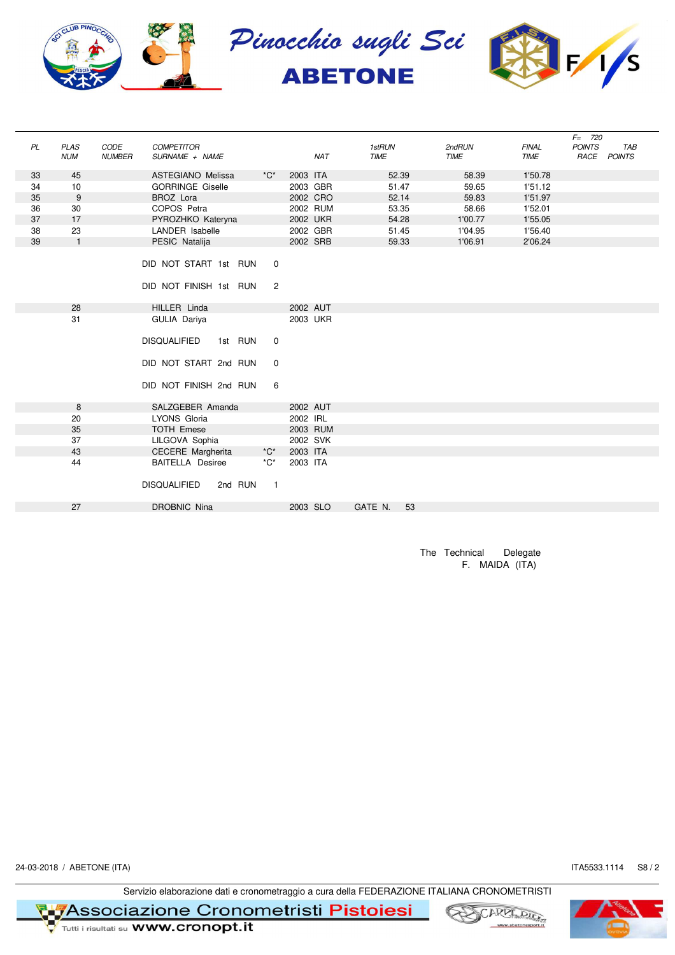

| PL | <b>PLAS</b>  | CODE          | <b>COMPETITOR</b>        |         |                     |          |            | 1stRUN      |       | 2ndRUN      | <b>FINAL</b> | $F = 720$<br><b>POINTS</b> | <b>TAB</b> |
|----|--------------|---------------|--------------------------|---------|---------------------|----------|------------|-------------|-------|-------------|--------------|----------------------------|------------|
|    | <b>NUM</b>   | <b>NUMBER</b> | SURNAME + NAME           |         |                     |          | <b>NAT</b> | <b>TIME</b> |       | <b>TIME</b> | <b>TIME</b>  | RACE POINTS                |            |
| 33 | 45           |               | <b>ASTEGIANO Melissa</b> |         | $^{\star}C^{\star}$ | 2003 ITA |            |             | 52.39 | 58.39       | 1'50.78      |                            |            |
| 34 | 10           |               | <b>GORRINGE Giselle</b>  |         |                     | 2003 GBR |            |             | 51.47 | 59.65       | 1'51.12      |                            |            |
| 35 | 9            |               | <b>BROZ</b> Lora         |         |                     | 2002 CRO |            |             | 52.14 | 59.83       | 1'51.97      |                            |            |
| 36 | 30           |               | COPOS Petra              |         |                     |          | 2002 RUM   |             | 53.35 | 58.66       | 1'52.01      |                            |            |
| 37 | 17           |               | PYROZHKO Kateryna        |         |                     | 2002 UKR |            |             | 54.28 | 1'00.77     | 1'55.05      |                            |            |
| 38 | 23           |               | LANDER Isabelle          |         |                     | 2002 GBR |            |             | 51.45 | 1'04.95     | 1'56.40      |                            |            |
| 39 | $\mathbf{1}$ |               | PESIC Natalija           |         |                     | 2002 SRB |            |             | 59.33 | 1'06.91     | 2'06.24      |                            |            |
|    |              |               | DID NOT START 1st RUN    |         |                     |          |            |             |       |             |              |                            |            |
|    |              |               |                          |         | 0                   |          |            |             |       |             |              |                            |            |
|    |              |               | DID NOT FINISH 1st RUN   |         | $\overline{2}$      |          |            |             |       |             |              |                            |            |
|    | 28           |               | HILLER Linda             |         |                     | 2002 AUT |            |             |       |             |              |                            |            |
|    | 31           |               | GULIA Dariya             |         |                     | 2003 UKR |            |             |       |             |              |                            |            |
|    |              |               |                          |         |                     |          |            |             |       |             |              |                            |            |
|    |              |               | <b>DISQUALIFIED</b>      | 1st RUN | $\mathbf 0$         |          |            |             |       |             |              |                            |            |
|    |              |               | DID NOT START 2nd RUN    |         | $\mathbf 0$         |          |            |             |       |             |              |                            |            |
|    |              |               | DID NOT FINISH 2nd RUN   |         | 6                   |          |            |             |       |             |              |                            |            |
|    | 8            |               | SALZGEBER Amanda         |         |                     | 2002 AUT |            |             |       |             |              |                            |            |
|    | 20           |               | LYONS Gloria             |         |                     | 2002 IRL |            |             |       |             |              |                            |            |
|    | 35           |               | <b>TOTH Emese</b>        |         |                     | 2003 RUM |            |             |       |             |              |                            |            |
|    | 37           |               | LILGOVA Sophia           |         |                     | 2002 SVK |            |             |       |             |              |                            |            |
|    | 43           |               | <b>CECERE</b> Margherita |         | $^{\star}C^{\star}$ | 2003 ITA |            |             |       |             |              |                            |            |
|    | 44           |               | <b>BAITELLA Desiree</b>  |         | $^{\star}C^{\star}$ | 2003 ITA |            |             |       |             |              |                            |            |
|    |              |               | <b>DISQUALIFIED</b>      | 2nd RUN | $\overline{1}$      |          |            |             |       |             |              |                            |            |
|    | 27           |               | <b>DROBNIC Nina</b>      |         |                     | 2003 SLO |            | GATE N.     | 53    |             |              |                            |            |
|    |              |               |                          |         |                     |          |            |             |       |             |              |                            |            |

The Technical Delegate F. MAIDA (ITA)

24-03-2018 / ABETONE (ITA) S8 / 2

Servizio elaborazione dati e cronometraggio a cura della FEDERAZIONE ITALIANA CRONOMETRISTI





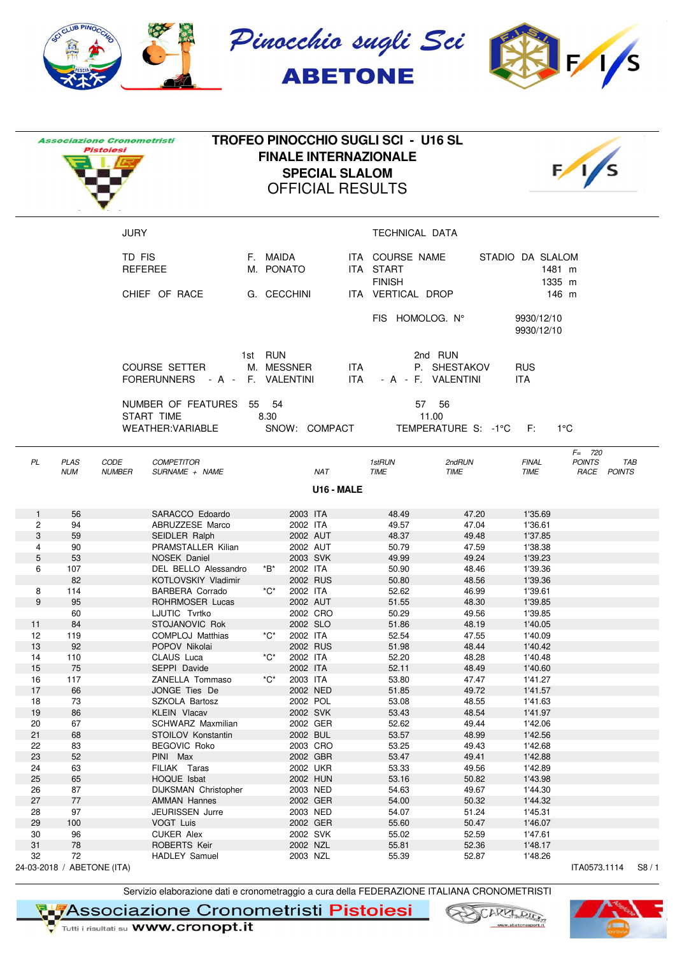

|                   |                           | <b>Associazione Cronometristi</b><br><b>Pistoiesi</b>        | <b>TROFEO PINOCCHIO SUGLI SCI - U16 SL</b>  |                     |                      | <b>FINALE INTERNAZIONALE</b><br><b>SPECIAL SLALOM</b><br><b>OFFICIAL RESULTS</b> |                    |                                               |                              |                                      |                                           |      |
|-------------------|---------------------------|--------------------------------------------------------------|---------------------------------------------|---------------------|----------------------|----------------------------------------------------------------------------------|--------------------|-----------------------------------------------|------------------------------|--------------------------------------|-------------------------------------------|------|
|                   |                           | <b>JURY</b>                                                  |                                             |                     |                      |                                                                                  |                    | TECHNICAL DATA                                |                              |                                      |                                           |      |
|                   |                           | TD FIS<br><b>REFEREE</b>                                     |                                             | F. MAIDA            | M. PONATO            |                                                                                  |                    | ITA COURSE NAME<br>ITA START<br><b>FINISH</b> |                              | STADIO DA SLALOM<br>1481 m<br>1335 m |                                           |      |
|                   |                           | CHIEF OF RACE                                                |                                             |                     | G. CECCHINI          |                                                                                  |                    | ITA VERTICAL DROP                             |                              |                                      | 146 m                                     |      |
|                   |                           |                                                              |                                             |                     |                      |                                                                                  |                    | FIS HOMOLOG. N°                               |                              | 9930/12/10<br>9930/12/10             |                                           |      |
|                   |                           | <b>COURSE SETTER</b><br>FORERUNNERS - A - F. VALENTINI       |                                             | 1st RUN             | M. MESSNER           |                                                                                  | <b>ITA</b><br>ITA. | - A - F. VALENTINI                            | 2nd RUN<br>P. SHESTAKOV      | <b>RUS</b><br>ITA.                   |                                           |      |
|                   |                           | NUMBER OF FEATURES<br>START TIME<br><b>WEATHER: VARIABLE</b> |                                             | 55 54<br>8.30       |                      | SNOW: COMPACT                                                                    |                    | 11.00                                         | 57 56<br>TEMPERATURE S: -1°C | F:                                   | $1^{\circ}$ C                             |      |
| PL                | <b>PLAS</b><br><b>NUM</b> | CODE<br><b>COMPETITOR</b><br><b>NUMBER</b><br>SURNAME + NAME |                                             |                     |                      | <b>NAT</b><br>U16 - MALE                                                         |                    | 1stRUN<br>TIME                                | 2ndRUN<br><b>TIME</b>        | <b>FINAL</b><br><b>TIME</b>          | $F = 720$<br><b>POINTS</b><br>RACE POINTS | TAB  |
|                   |                           |                                                              |                                             |                     |                      |                                                                                  |                    |                                               |                              |                                      |                                           |      |
| $\mathbf{1}$<br>2 | 56<br>94                  | SARACCO Edoardo<br>ABRUZZESE Marco                           |                                             |                     | 2003 ITA<br>2002 ITA |                                                                                  |                    | 48.49<br>49.57                                | 47.20<br>47.04               | 1'35.69<br>1'36.61                   |                                           |      |
| 3                 | 59                        | <b>SEIDLER Ralph</b>                                         |                                             |                     | 2002 AUT             |                                                                                  |                    | 48.37                                         | 49.48                        | 1'37.85                              |                                           |      |
| 4                 | 90                        |                                                              | PRAMSTALLER Kilian                          |                     | 2002 AUT             |                                                                                  |                    | 50.79                                         | 47.59                        | 1'38.38                              |                                           |      |
| 5                 | 53                        | NOSEK Daniel                                                 |                                             |                     | 2003 SVK             |                                                                                  |                    | 49.99                                         | 49.24                        | 1'39.23                              |                                           |      |
| 6                 | 107<br>82                 |                                                              | DEL BELLO Alessandro<br>KOTLOVSKIY Vladimir | *B*                 | 2002 ITA<br>2002 RUS |                                                                                  |                    | 50.90                                         | 48.46<br>48.56               | 1'39.36<br>1'39.36                   |                                           |      |
| 8                 | 114                       | <b>BARBERA Corrado</b>                                       |                                             | $^{\star}C^{\star}$ | 2002 ITA             |                                                                                  |                    | 50.80<br>52.62                                | 46.99                        | 1'39.61                              |                                           |      |
| 9                 | 95                        | ROHRMOSER Lucas                                              |                                             |                     | 2002 AUT             |                                                                                  |                    | 51.55                                         | 48.30                        | 1'39.85                              |                                           |      |
|                   | 60                        | LJUTIC Tvrtko                                                |                                             |                     | 2002 CRO             |                                                                                  |                    | 50.29                                         | 49.56                        | 1'39.85                              |                                           |      |
| 11                | 84                        | STOJANOVIC Rok                                               |                                             |                     | 2002 SLO             |                                                                                  |                    | 51.86                                         | 48.19                        | 1'40.05                              |                                           |      |
| 12                | 119                       | COMPLOJ Matthias                                             |                                             | *C*                 | 2002 IIA             |                                                                                  |                    | 52.54                                         | 47.55                        | 1'40.09                              |                                           |      |
| 13<br>14          | 92<br>110                 | POPOV Nikolai<br>CLAUS Luca                                  |                                             | $^{\star}C^{\star}$ | 2002 RUS<br>2002 ITA |                                                                                  |                    | 51.98<br>52.20                                | 48.44<br>48.28               | 1'40.42<br>1'40.48                   |                                           |      |
| 15                | 75                        | SEPPI Davide                                                 |                                             |                     | 2002 ITA             |                                                                                  |                    | 52.11                                         | 48.49                        | 1'40.60                              |                                           |      |
| 16                | 117                       | ZANELLA Tommaso                                              |                                             | *C*                 | 2003 ITA             |                                                                                  |                    | 53.80                                         | 47.47                        | 1'41.27                              |                                           |      |
| 17                | 66                        | JONGE Ties De                                                |                                             |                     | 2002 NED             |                                                                                  |                    | 51.85                                         | 49.72                        | 1'41.57                              |                                           |      |
| 18                | 73                        | SZKOLA Bartosz                                               |                                             |                     | 2002 POL             |                                                                                  |                    | 53.08                                         | 48.55                        | 1'41.63                              |                                           |      |
| 19<br>20          | 86<br>67                  | <b>KLEIN Vlacav</b>                                          | SCHWARZ Maxmilian                           |                     | 2002 SVK<br>2002 GER |                                                                                  |                    | 53.43<br>52.62                                | 48.54<br>49.44               | 1'41.97<br>1'42.06                   |                                           |      |
| 21                | 68                        | STOILOV Konstantin                                           |                                             |                     | 2002 BUL             |                                                                                  |                    | 53.57                                         | 48.99                        | 1'42.56                              |                                           |      |
| 22                | 83                        | BEGOVIC Roko                                                 |                                             |                     | 2003 CRO             |                                                                                  |                    | 53.25                                         | 49.43                        | 1'42.68                              |                                           |      |
| 23                | 52                        | PINI Max                                                     |                                             |                     | 2002 GBR             |                                                                                  |                    | 53.47                                         | 49.41                        | 1'42.88                              |                                           |      |
| 24                | 63                        | FILIAK Taras                                                 |                                             |                     | 2002 UKR             |                                                                                  |                    | 53.33                                         | 49.56                        | 1'42.89                              |                                           |      |
| 25                | 65                        | HOQUE Isbat                                                  |                                             |                     | 2002 HUN             |                                                                                  |                    | 53.16                                         | 50.82                        | 1'43.98                              |                                           |      |
| 26<br>27          | 87<br>77                  | <b>AMMAN Hannes</b>                                          | DIJKSMAN Christopher                        |                     | 2003 NED<br>2002 GER |                                                                                  |                    | 54.63<br>54.00                                | 49.67<br>50.32               | 1'44.30<br>1'44.32                   |                                           |      |
| 28                | 97                        | JEURISSEN Jurre                                              |                                             |                     | 2003 NED             |                                                                                  |                    | 54.07                                         | 51.24                        | 1'45.31                              |                                           |      |
| 29                | 100                       | VOGT Luis                                                    |                                             |                     | 2002 GER             |                                                                                  |                    | 55.60                                         | 50.47                        | 1'46.07                              |                                           |      |
| 30                | 96                        | CUKER Alex                                                   |                                             |                     | 2002 SVK             |                                                                                  |                    | 55.02                                         | 52.59                        | 1'47.61                              |                                           |      |
| 31                | 78                        | ROBERTS Keir                                                 |                                             |                     | 2002 NZL             |                                                                                  |                    | 55.81                                         | 52.36                        | 1'48.17                              |                                           |      |
| 32                | 72                        | <b>HADLEY Samuel</b><br>24-03-2018 / ABETONE (ITA)           |                                             |                     | 2003 NZL             |                                                                                  |                    | 55.39                                         | 52.87                        | 1'48.26                              | ITA0573.1114                              | S8/1 |

Servizio elaborazione dati e cronometraggio a cura della FEDERAZIONE ITALIANA CRONOMETRISTI

**TASSOCIAZIONE Cronometristi Pistoiesi**<br>V Tutti i risultati su WWW.cronopt.it